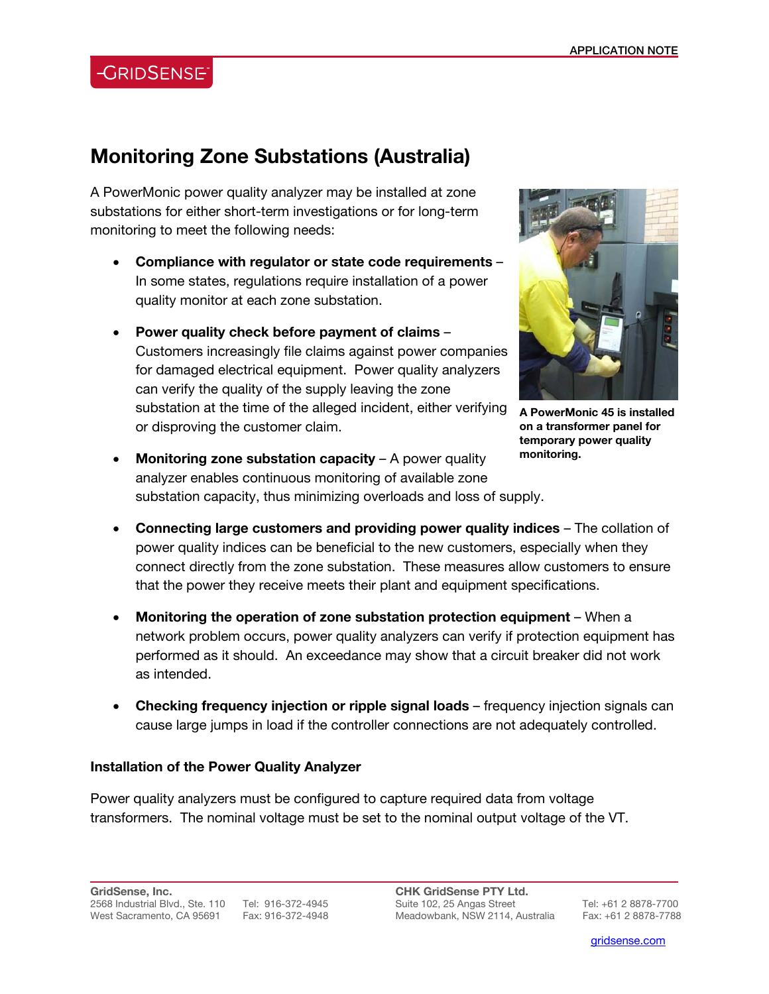# **CRIDSENSE**

## **Monitoring Zone Substations (Australia)**

A PowerMonic power quality analyzer may be installed at zone substations for either short-term investigations or for long-term monitoring to meet the following needs:

- **Compliance with regulator or state code requirements** In some states, regulations require installation of a power quality monitor at each zone substation.
- **Power quality check before payment of claims** Customers increasingly file claims against power companies for damaged electrical equipment. Power quality analyzers can verify the quality of the supply leaving the zone substation at the time of the alleged incident, either verifying or disproving the customer claim.



**A PowerMonic 45 is installed on a transformer panel for temporary power quality monitoring.** 

- **Monitoring zone substation capacity** A power quality analyzer enables continuous monitoring of available zone substation capacity, thus minimizing overloads and loss of supply.
- **Connecting large customers and providing power quality indices** The collation of power quality indices can be beneficial to the new customers, especially when they connect directly from the zone substation. These measures allow customers to ensure that the power they receive meets their plant and equipment specifications.
- **Monitoring the operation of zone substation protection equipment** When a network problem occurs, power quality analyzers can verify if protection equipment has performed as it should. An exceedance may show that a circuit breaker did not work as intended.
- **Checking frequency injection or ripple signal loads** frequency injection signals can cause large jumps in load if the controller connections are not adequately controlled.

#### **Installation of the Power Quality Analyzer**

Power quality analyzers must be configured to capture required data from voltage transformers. The nominal voltage must be set to the nominal output voltage of the VT.

l

gridsense.com i de la companya de la companya de la companya de la companya de la companya de la companya de l